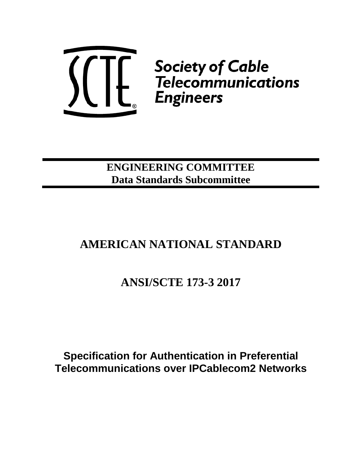

**ENGINEERING COMMITTEE Data Standards Subcommittee**

# **AMERICAN NATIONAL STANDARD**

# **ANSI/SCTE 173-3 2017**

**Specification for Authentication in Preferential Telecommunications over IPCablecom2 Networks**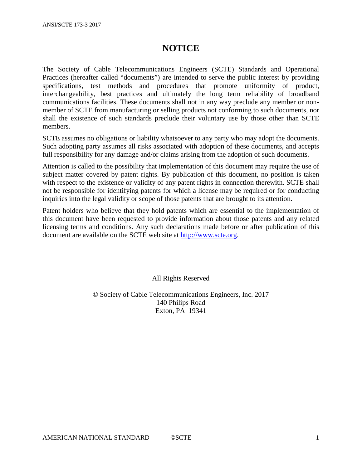## **NOTICE**

The Society of Cable Telecommunications Engineers (SCTE) Standards and Operational Practices (hereafter called "documents") are intended to serve the public interest by providing specifications, test methods and procedures that promote uniformity of product, interchangeability, best practices and ultimately the long term reliability of broadband communications facilities. These documents shall not in any way preclude any member or nonmember of SCTE from manufacturing or selling products not conforming to such documents, nor shall the existence of such standards preclude their voluntary use by those other than SCTE members.

SCTE assumes no obligations or liability whatsoever to any party who may adopt the documents. Such adopting party assumes all risks associated with adoption of these documents, and accepts full responsibility for any damage and/or claims arising from the adoption of such documents.

Attention is called to the possibility that implementation of this document may require the use of subject matter covered by patent rights. By publication of this document, no position is taken with respect to the existence or validity of any patent rights in connection therewith. SCTE shall not be responsible for identifying patents for which a license may be required or for conducting inquiries into the legal validity or scope of those patents that are brought to its attention.

Patent holders who believe that they hold patents which are essential to the implementation of this document have been requested to provide information about those patents and any related licensing terms and conditions. Any such declarations made before or after publication of this document are available on the SCTE web site at [http://www.scte.org.](http://www.scte.org/)

All Rights Reserved

© Society of Cable Telecommunications Engineers, Inc. 2017 140 Philips Road Exton, PA 19341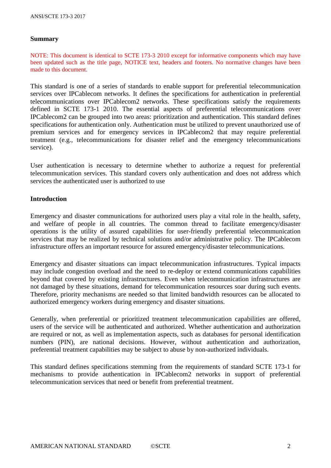#### **Summary**

NOTE: This document is identical to SCTE 173-3 2010 except for informative components which may have been updated such as the title page, NOTICE text, headers and footers. No normative changes have been made to this document.

This standard is one of a series of standards to enable support for preferential telecommunication services over IPCablecom networks. It defines the specifications for authentication in preferential telecommunications over IPCablecom2 networks. These specifications satisfy the requirements defined in SCTE 173-1 2010. The essential aspects of preferential telecommunications over IPCablecom2 can be grouped into two areas: prioritization and authentication. This standard defines specifications for authentication only. Authentication must be utilized to prevent unauthorized use of premium services and for emergency services in IPCablecom2 that may require preferential treatment (e.g., telecommunications for disaster relief and the emergency telecommunications service).

User authentication is necessary to determine whether to authorize a request for preferential telecommunication services. This standard covers only authentication and does not address which services the authenticated user is authorized to use

#### **Introduction**

Emergency and disaster communications for authorized users play a vital role in the health, safety, and welfare of people in all countries. The common thread to facilitate emergency/disaster operations is the utility of assured capabilities for user-friendly preferential telecommunication services that may be realized by technical solutions and/or administrative policy. The IPCablecom infrastructure offers an important resource for assured emergency/disaster telecommunications.

Emergency and disaster situations can impact telecommunication infrastructures. Typical impacts may include congestion overload and the need to re-deploy or extend communications capabilities beyond that covered by existing infrastructures. Even when telecommunication infrastructures are not damaged by these situations, demand for telecommunication resources soar during such events. Therefore, priority mechanisms are needed so that limited bandwidth resources can be allocated to authorized emergency workers during emergency and disaster situations.

Generally, when preferential or prioritized treatment telecommunication capabilities are offered, users of the service will be authenticated and authorized. Whether authentication and authorization are required or not, as well as implementation aspects, such as databases for personal identification numbers (PIN), are national decisions. However, without authentication and authorization, preferential treatment capabilities may be subject to abuse by non-authorized individuals.

This standard defines specifications stemming from the requirements of standard SCTE 173-1 for mechanisms to provide authentication in IPCablecom2 networks in support of preferential telecommunication services that need or benefit from preferential treatment.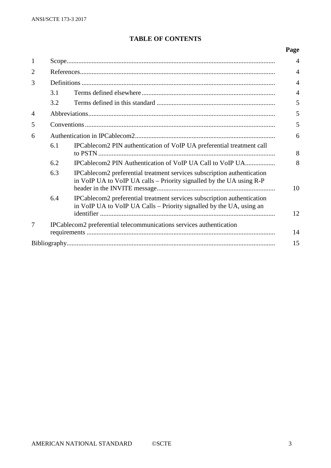## **TABLE OF CONTENTS**

## **Page**

| 1              |                                                                           |                                                                                                                                                 |                |  |
|----------------|---------------------------------------------------------------------------|-------------------------------------------------------------------------------------------------------------------------------------------------|----------------|--|
| $\overline{2}$ |                                                                           |                                                                                                                                                 |                |  |
| 3              |                                                                           |                                                                                                                                                 |                |  |
|                | 3.1                                                                       |                                                                                                                                                 | $\overline{4}$ |  |
|                | 3.2                                                                       |                                                                                                                                                 | 5              |  |
| $\overline{4}$ |                                                                           |                                                                                                                                                 |                |  |
| 5              |                                                                           |                                                                                                                                                 |                |  |
| 6              |                                                                           |                                                                                                                                                 |                |  |
|                | 6.1                                                                       | IPCablecom2 PIN authentication of VoIP UA preferential treatment call                                                                           | 8              |  |
|                | 6.2                                                                       |                                                                                                                                                 | 8              |  |
|                | 6.3                                                                       | IPCablecom2 preferential treatment services subscription authentication<br>in VoIP UA to VoIP UA calls – Priority signalled by the UA using R-P | 10             |  |
|                | 6.4                                                                       | IPCablecom2 preferential treatment services subscription authentication<br>in VoIP UA to VoIP UA Calls – Priority signalled by the UA, using an | 12             |  |
| 7              | IPCablecom2 preferential telecommunications services authentication<br>14 |                                                                                                                                                 |                |  |
| 15             |                                                                           |                                                                                                                                                 |                |  |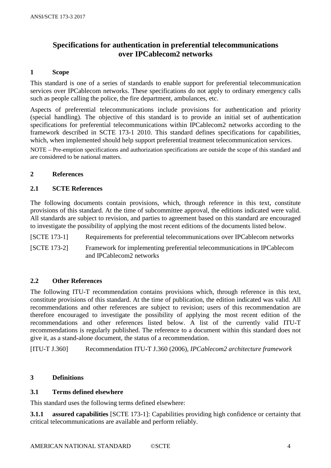## **Specifications for authentication in preferential telecommunications over IPCablecom2 networks**

#### **1 Scope**

This standard is one of a series of standards to enable support for preferential telecommunication services over IPCablecom networks. These specifications do not apply to ordinary emergency calls such as people calling the police, the fire department, ambulances, etc.

Aspects of preferential telecommunications include provisions for authentication and priority (special handling). The objective of this standard is to provide an initial set of authentication specifications for preferential telecommunications within IPCablecom2 networks according to the framework described in SCTE 173-1 2010. This standard defines specifications for capabilities, which, when implemented should help support preferential treatment telecommunication services.

NOTE – Pre-emption specifications and authorization specifications are outside the scope of this standard and are considered to be national matters.

#### **2 References**

#### **2.1 SCTE References**

The following documents contain provisions, which, through reference in this text, constitute provisions of this standard. At the time of subcommittee approval, the editions indicated were valid. All standards are subject to revision, and parties to agreement based on this standard are encouraged to investigate the possibility of applying the most recent editions of the documents listed below.

[SCTE 173-1] Requirements for preferential telecommunications over IPCablecom networks [SCTE 173-2] Framework for implementing preferential telecommunications in IPCablecom

and IPCablecom2 networks

#### **2.2 Other References**

The following ITU-T recommendation contains provisions which, through reference in this text, constitute provisions of this standard. At the time of publication, the edition indicated was valid. All recommendations and other references are subject to revision; users of this recommendation are therefore encouraged to investigate the possibility of applying the most recent edition of the recommendations and other references listed below. A list of the currently valid ITU-T recommendations is regularly published. The reference to a document within this standard does not give it, as a stand-alone document, the status of a recommendation.

[ITU-T J.360] Recommendation ITU-T J.360 (2006), *IPCablecom2 architecture framework*

#### **3 Definitions**

#### **3.1 Terms defined elsewhere**

This standard uses the following terms defined elsewhere:

**3.1.1 assured capabilities** [SCTE 173-1]: Capabilities providing high confidence or certainty that critical telecommunications are available and perform reliably.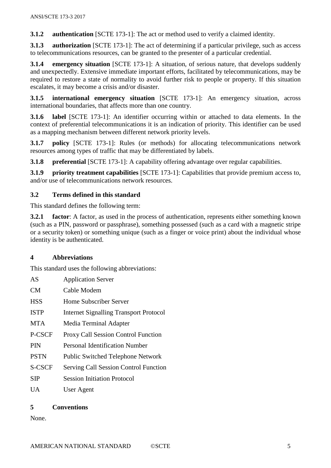**3.1.2 authentication** [SCTE 173-1]: The act or method used to verify a claimed identity.

**3.1.3 authorization** [SCTE 173-1]: The act of determining if a particular privilege, such as access to telecommunications resources, can be granted to the presenter of a particular credential.

**3.1.4 emergency situation** [SCTE 173-1]: A situation, of serious nature, that develops suddenly and unexpectedly. Extensive immediate important efforts, facilitated by telecommunications, may be required to restore a state of normality to avoid further risk to people or property. If this situation escalates, it may become a crisis and/or disaster.

**3.1.5 international emergency situation** [SCTE 173-1]: An emergency situation, across international boundaries, that affects more than one country.

**3.1.6 label** [SCTE 173-1]: An identifier occurring within or attached to data elements. In the context of preferential telecommunications it is an indication of priority. This identifier can be used as a mapping mechanism between different network priority levels.

**3.1.7 policy** [SCTE 173-1]: Rules (or methods) for allocating telecommunications network resources among types of traffic that may be differentiated by labels.

**3.1.8 preferential** [SCTE 173-1]: A capability offering advantage over regular capabilities.

**3.1.9 priority treatment capabilities** [SCTE 173-1]: Capabilities that provide premium access to, and/or use of telecommunications network resources.

## **3.2 Terms defined in this standard**

This standard defines the following term:

**3.2.1 factor**: A factor, as used in the process of authentication, represents either something known (such as a PIN, password or passphrase), something possessed (such as a card with a magnetic stripe or a security token) or something unique (such as a finger or voice print) about the individual whose identity is be authenticated.

## **4 Abbreviations**

This standard uses the following abbreviations:

| AS            | <b>Application Server</b>                     |
|---------------|-----------------------------------------------|
| <b>CM</b>     | Cable Modem                                   |
| <b>HSS</b>    | Home Subscriber Server                        |
| <b>ISTP</b>   | <b>Internet Signalling Transport Protocol</b> |
| <b>MTA</b>    | Media Terminal Adapter                        |
| P-CSCF        | <b>Proxy Call Session Control Function</b>    |
| <b>PIN</b>    | Personal Identification Number                |
| <b>PSTN</b>   | <b>Public Switched Telephone Network</b>      |
| <b>S-CSCF</b> | <b>Serving Call Session Control Function</b>  |
| SIP           | <b>Session Initiation Protocol</b>            |
| UA            | User Agent                                    |

## **5 Conventions**

None.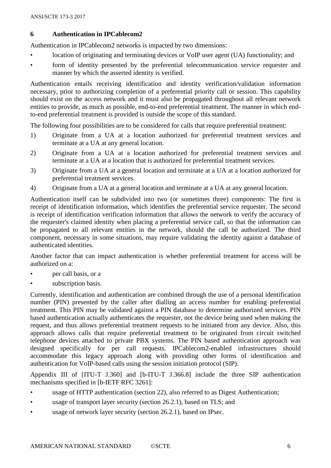### **6 Authentication in IPCablecom2**

Authentication in IPCablecom2 networks is impacted by two dimensions:

- location of originating and terminating devices or VoIP user agent (UA) functionality; and
- form of identity presented by the preferential telecommunication service requester and manner by which the asserted identity is verified.

Authentication entails receiving identification and identity verification/validation information necessary, prior to authorizing completion of a preferential priority call or session. This capability should exist on the access network and it must also be propagated throughout all relevant network entities to provide, as much as possible, end-to-end preferential treatment. The manner in which endto-end preferential treatment is provided is outside the scope of this standard.

The following four possibilities are to be considered for calls that require preferential treatment:

- 1) Originate from a UA at a location authorized for preferential treatment services and terminate at a UA at any general location.
- 2) Originate from a UA at a location authorized for preferential treatment services and terminate at a UA at a location that is authorized for preferential treatment services.
- 3) Originate from a UA at a general location and terminate at a UA at a location authorized for preferential treatment services.
- 4) Originate from a UA at a general location and terminate at a UA at any general location.

Authentication itself can be subdivided into two (or sometimes three) components: The first is receipt of identification information, which identifies the preferential service requester. The second is receipt of identification verification information that allows the network to verify the accuracy of the requester's claimed identity when placing a preferential service call, so that the information can be propagated to all relevant entities in the network, should the call be authorized. The third component, necessary in some situations, may require validating the identity against a database of authenticated identities.

Another factor that can impact authentication is whether preferential treatment for access will be authorized on a:

- per call basis, or a
- subscription basis.

Currently, identification and authentication are combined through the use of a personal identification number (PIN) presented by the caller after dialling an access number for enabling preferential treatment. This PIN may be validated against a PIN database to determine authorized services. PIN based authentication actually authenticates the requester, not the device being used when making the request, and thus allows preferential treatment requests to be initiated from any device. Also, this approach allows calls that require preferential treatment to be originated from circuit switched telephone devices attached to private PBX systems. The PIN based authentication approach was designed specifically for per call requests. IPCablecom2-enabled infrastructures should accommodate this legacy approach along with providing other forms of identification and authentication for VoIP-based calls using the session initiation protocol (SIP).

Appendix III of [ITU-T J.360] and [b-ITU-T J.366.8] include the three SIP authentication mechanisms specified in [b-IETF RFC 3261]:

- usage of HTTP authentication (section 22), also referred to as Digest Authentication;
- usage of transport layer security (section 26.2.1), based on TLS; and
- usage of network layer security (section 26.2.1), based on IPsec.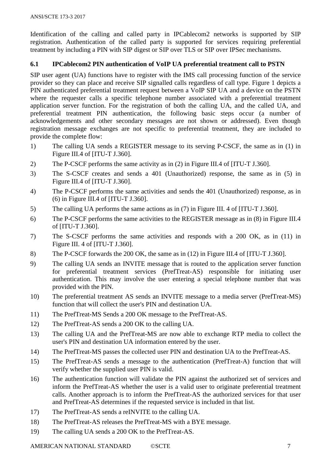Identification of the calling and called party in IPCablecom2 networks is supported by SIP registration. Authentication of the called party is supported for services requiring preferential treatment by including a PIN with SIP digest or SIP over TLS or SIP over IPSec mechanisms.

## **6.1 IPCablecom2 PIN authentication of VoIP UA preferential treatment call to PSTN**

SIP user agent (UA) functions have to register with the IMS call processing function of the service provider so they can place and receive SIP signalled calls regardless of call type. Figure 1 depicts a PIN authenticated preferential treatment request between a VoIP SIP UA and a device on the PSTN where the requester calls a specific telephone number associated with a preferential treatment application server function. For the registration of both the calling UA, and the called UA, and preferential treatment PIN authentication, the following basic steps occur (a number of acknowledgements and other secondary messages are not shown or addressed). Even though registration message exchanges are not specific to preferential treatment, they are included to provide the complete flow:

- 1) The calling UA sends a REGISTER message to its serving P-CSCF, the same as in (1) in Figure III.4 of [ITU-T J.360].
- 2) The P-CSCF performs the same activity as in (2) in Figure III.4 of [ITU-T J.360].
- 3) The S-CSCF creates and sends a 401 (Unauthorized) response, the same as in (5) in Figure III.4 of [ITU-T J.360].
- 4) The P-CSCF performs the same activities and sends the 401 (Unauthorized) response, as in (6) in Figure III.4 of [ITU-T J.360].
- 5) The calling UA performs the same actions as in (7) in Figure III. 4 of [ITU-T J.360].
- 6) The P-CSCF performs the same activities to the REGISTER message as in (8) in Figure III.4 of [ITU-T J.360].
- 7) The S-CSCF performs the same activities and responds with a 200 OK, as in (11) in Figure III. 4 of [ITU-T J.360].
- 8) The P-CSCF forwards the 200 OK, the same as in (12) in Figure III.4 of [ITU-T J.360].
- 9) The calling UA sends an INVITE message that is routed to the application server function for preferential treatment services (PrefTreat-AS) responsible for initiating user authentication. This may involve the user entering a special telephone number that was provided with the PIN.
- 10) The preferential treatment AS sends an INVITE message to a media server (PrefTreat-MS) function that will collect the user's PIN and destination UA.
- 11) The PrefTreat-MS Sends a 200 OK message to the PrefTreat-AS.
- 12) The PrefTreat-AS sends a 200 OK to the calling UA.
- 13) The calling UA and the PrefTreat-MS are now able to exchange RTP media to collect the user's PIN and destination UA information entered by the user.
- 14) The PrefTreat-MS passes the collected user PIN and destination UA to the PrefTreat-AS.
- 15) The PrefTreat-AS sends a message to the authentication (PrefTreat-A) function that will verify whether the supplied user PIN is valid.
- 16) The authentication function will validate the PIN against the authorized set of services and inform the PrefTreat-AS whether the user is a valid user to originate preferential treatment calls. Another approach is to inform the PrefTreat-AS the authorized services for that user and PrefTreat-AS determines if the requested service is included in that list.
- 17) The PrefTreat-AS sends a reINVITE to the calling UA.
- 18) The PrefTreat-AS releases the PrefTreat-MS with a BYE message.
- 19) The calling UA sends a 200 OK to the PrefTreat-AS.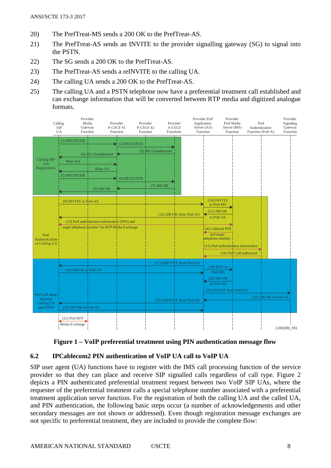- 20) The PrefTreat-MS sends a 200 OK to the PrefTreat-AS.
- 21) The PrefTreat-AS sends an INVITE to the provider signalling gateway (SG) to signal into the PSTN.
- 22) The SG sends a 200 OK to the PrefTreat-AS.
- 23) The PrefTreat-AS sends a reINVITE to the calling UA.
- 24) The calling UA sends a 200 OK to the PrefTreat-AS.
- 25) The calling UA and a PSTN telephone now have a preferential treatment call established and can exchange information that will be converted between RTP media and digitized analogue formats.



**Figure 1 – VoIP preferential treatment using PIN authentication message flow**

#### **6.2 IPCablecom2 PIN authentication of VoIP UA call to VoIP UA**

SIP user agent (UA) functions have to register with the IMS call processing function of the service provider so that they can place and receive SIP signalled calls regardless of call type. Figure 2 depicts a PIN authenticated preferential treatment request between two VoIP SIP UAs, where the requester of the preferential treatment calls a special telephone number associated with a preferential treatment application server function. For the registration of both the calling UA and the called UA, and PIN authentication, the following basic steps occur (a number of acknowledgements and other secondary messages are not shown or addressed). Even though registration message exchanges are not specific to preferential treatment, they are included to provide the complete flow: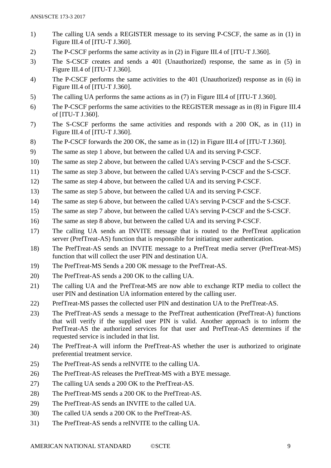- 1) The calling UA sends a REGISTER message to its serving P-CSCF, the same as in (1) in Figure III.4 of [ITU-T J.360].
- 2) The P-CSCF performs the same activity as in (2) in Figure III.4 of [ITU-T J.360].
- 3) The S-CSCF creates and sends a 401 (Unauthorized) response, the same as in (5) in Figure III.4 of [ITU-T J.360].
- 4) The P-CSCF performs the same activities to the 401 (Unauthorized) response as in (6) in Figure III.4 of [ITU-T J.360].
- 5) The calling UA performs the same actions as in (7) in Figure III.4 of [ITU-T J.360].
- 6) The P-CSCF performs the same activities to the REGISTER message as in (8) in Figure III.4 of [ITU-T J.360].
- 7) The S-CSCF performs the same activities and responds with a 200 OK, as in (11) in Figure III.4 of [ITU-T J.360].
- 8) The P-CSCF forwards the 200 OK, the same as in (12) in Figure III.4 of [ITU-T J.360].
- 9) The same as step 1 above, but between the called UA and its serving P-CSCF.
- 10) The same as step 2 above, but between the called UA's serving P-CSCF and the S-CSCF.
- 11) The same as step 3 above, but between the called UA's serving P-CSCF and the S-CSCF.
- 12) The same as step 4 above, but between the called UA and its serving P-CSCF.
- 13) The same as step 5 above, but between the called UA and its serving P-CSCF.
- 14) The same as step 6 above, but between the called UA's serving P-CSCF and the S-CSCF.
- 15) The same as step 7 above, but between the called UA's serving P-CSCF and the S-CSCF.
- 16) The same as step 8 above, but between the called UA and its serving P-CSCF.
- 17) The calling UA sends an INVITE message that is routed to the PrefTreat application server (PrefTreat-AS) function that is responsible for initiating user authentication.
- 18) The PrefTreat-AS sends an INVITE message to a PrefTreat media server (PrefTreat-MS) function that will collect the user PIN and destination UA.
- 19) The PrefTreat-MS Sends a 200 OK message to the PrefTreat-AS.
- 20) The PrefTreat-AS sends a 200 OK to the calling UA.
- 21) The calling UA and the PrefTreat-MS are now able to exchange RTP media to collect the user PIN and destination UA information entered by the calling user.
- 22) PrefTreat-MS passes the collected user PIN and destination UA to the PrefTreat-AS.
- 23) The PrefTreat-AS sends a message to the PrefTreat authentication (PrefTreat-A) functions that will verify if the supplied user PIN is valid. Another approach is to inform the PrefTreat-AS the authorized services for that user and PrefTreat-AS determines if the requested service is included in that list.
- 24) The PrefTreat-A will inform the PrefTreat-AS whether the user is authorized to originate preferential treatment service.
- 25) The PrefTreat-AS sends a reINVITE to the calling UA.
- 26) The PrefTreat-AS releases the PrefTreat-MS with a BYE message.
- 27) The calling UA sends a 200 OK to the PrefTreat-AS.
- 28) The PrefTreat-MS sends a 200 OK to the PrefTreat-AS.
- 29) The PrefTreat-AS sends an INVITE to the called UA.
- 30) The called UA sends a 200 OK to the PrefTreat-AS.
- 31) The PrefTreat-AS sends a reINVITE to the calling UA.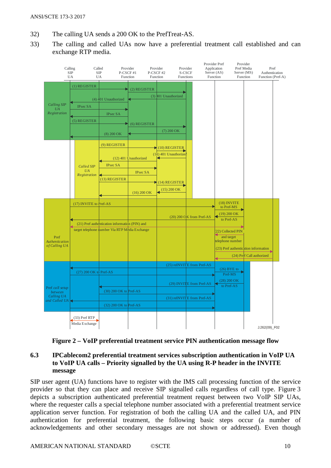ANSI/SCTE 173-3 2017

- 32) The calling UA sends a 200 OK to the PrefTreat-AS.
- 33) The calling and called UAs now have a preferential treatment call established and can exchange RTP media.



**Figure 2 – VoIP preferential treatment service PIN authentication message flow**

## **6.3 IPCablecom2 preferential treatment services subscription authentication in VoIP UA to VoIP UA calls – Priority signalled by the UA using R-P header in the INVITE message**

SIP user agent (UA) functions have to register with the IMS call processing function of the service provider so that they can place and receive SIP signalled calls regardless of call type. Figure 3 depicts a subscription authenticated preferential treatment request between two VoIP SIP UAs, where the requester calls a special telephone number associated with a preferential treatment service application server function. For registration of both the calling UA and the called UA, and PIN authentication for preferential treatment, the following basic steps occur (a number of acknowledgements and other secondary messages are not shown or addressed). Even though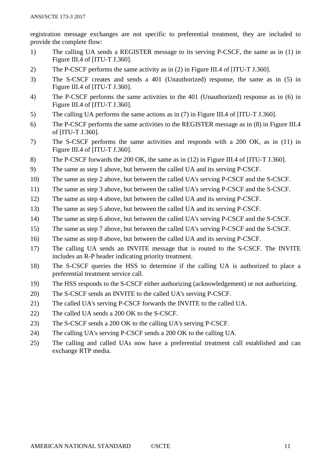registration message exchanges are not specific to preferential treatment, they are included to provide the complete flow:

- 1) The calling UA sends a REGISTER message to its serving P-CSCF, the same as in (1) in Figure III.4 of [ITU-T J.360].
- 2) The P-CSCF performs the same activity as in (2) in Figure III.4 of [ITU-T J.360].
- 3) The S-CSCF creates and sends a 401 (Unauthorized) response, the same as in (5) in Figure III.4 of [ITU-T J.360].
- 4) The P-CSCF performs the same activities to the 401 (Unauthorized) response as in (6) in Figure III.4 of [ITU-T J.360].
- 5) The calling UA performs the same actions as in (7) in Figure III.4 of [ITU-T J.360].
- 6) The P-CSCF performs the same activities to the REGISTER message as in (8) in Figure III.4 of [ITU-T J.360].
- 7) The S-CSCF performs the same activities and responds with a 200 OK, as in (11) in Figure III.4 of [ITU-T J.360].
- 8) The P-CSCF forwards the 200 OK, the same as in (12) in Figure III.4 of [ITU-T J.360].
- 9) The same as step 1 above, but between the called UA and its serving P-CSCF.
- 10) The same as step 2 above, but between the called UA's serving P-CSCF and the S-CSCF.
- 11) The same as step 3 above, but between the called UA's serving P-CSCF and the S-CSCF.
- 12) The same as step 4 above, but between the called UA and its serving P-CSCF.
- 13) The same as step 5 above, but between the called UA and its serving P-CSCF.
- 14) The same as step 6 above, but between the called UA's serving P-CSCF and the S-CSCF.
- 15) The same as step 7 above, but between the called UA's serving P-CSCF and the S-CSCF.
- 16) The same as step 8 above, but between the called UA and its serving P-CSCF.
- 17) The calling UA sends an INVITE message that is routed to the S-CSCF. The INVITE includes an R-P header indicating priority treatment.
- 18) The S-CSCF queries the HSS to determine if the calling UA is authorized to place a preferential treatment service call.
- 19) The HSS responds to the S-CSCF either authorizing (acknowledgement) or not authorizing.
- 20) The S-CSCF sends an INVITE to the called UA's serving P-CSCF.
- 21) The called UA's serving P-CSCF forwards the INVITE to the called UA.
- 22) The called UA sends a 200 OK to the S-CSCF.
- 23) The S-CSCF sends a 200 OK to the calling UA's serving P-CSCF.
- 24) The calling UA's serving P-CSCF sends a 200 OK to the calling UA.
- 25) The calling and called UAs now have a preferential treatment call established and can exchange RTP media.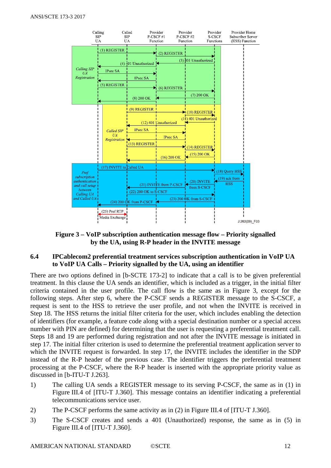

**Figure 3 – VoIP subscription authentication message flow – Priority signalled by the UA, using R-P header in the INVITE message**

#### **6.4 IPCablecom2 preferential treatment services subscription authentication in VoIP UA to VoIP UA Calls – Priority signalled by the UA, using an identifier**

There are two options defined in [b-SCTE 173-2] to indicate that a call is to be given preferential treatment. In this clause the UA sends an identifier, which is included as a trigger, in the initial filter criteria contained in the user profile. The call flow is the same as in Figure 3, except for the following steps. After step 6, where the P-CSCF sends a REGISTER message to the S-CSCF, a request is sent to the HSS to retrieve the user profile, and not when the INVITE is received in Step 18. The HSS returns the initial filter criteria for the user, which includes enabling the detection of identifiers (for example, a feature code along with a special destination number or a special access number with PIN are defined) for determining that the user is requesting a preferential treatment call. Steps 18 and 19 are performed during registration and not after the INVITE message is initiated in step 17. The initial filter criterion is used to determine the preferential treatment application server to which the INVITE request is forwarded. In step 17, the INVITE includes the identifier in the SDP instead of the R-P header of the previous case. The identifier triggers the preferential treatment processing at the P-CSCF, where the R-P header is inserted with the appropriate priority value as discussed in [b-ITU-T J.263].

- 1) The calling UA sends a REGISTER message to its serving P-CSCF, the same as in (1) in Figure III.4 of [ITU-T J.360]. This message contains an identifier indicating a preferential telecommunications service user.
- 2) The P-CSCF performs the same activity as in (2) in Figure III.4 of [ITU-T J.360].
- 3) The S-CSCF creates and sends a 401 (Unauthorized) response, the same as in (5) in Figure III.4 of [ITU-T J.360].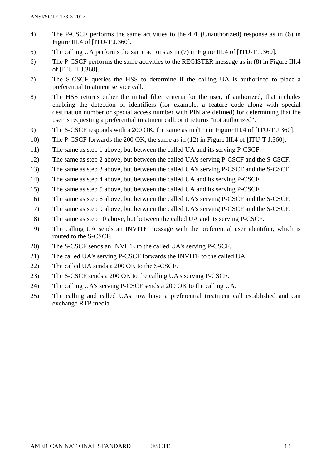- 4) The P-CSCF performs the same activities to the 401 (Unauthorized) response as in (6) in Figure III.4 of [ITU-T J.360].
- 5) The calling UA performs the same actions as in (7) in Figure III.4 of [ITU-T J.360].
- 6) The P-CSCF performs the same activities to the REGISTER message as in (8) in Figure III.4 of [ITU-T J.360].
- 7) The S-CSCF queries the HSS to determine if the calling UA is authorized to place a preferential treatment service call.
- 8) The HSS returns either the initial filter criteria for the user, if authorized, that includes enabling the detection of identifiers (for example, a feature code along with special destination number or special access number with PIN are defined) for determining that the user is requesting a preferential treatment call, or it returns "not authorized".
- 9) The S-CSCF responds with a 200 OK, the same as in (11) in Figure III.4 of [ITU-T J.360].
- 10) The P-CSCF forwards the 200 OK, the same as in (12) in Figure III.4 of [ITU-T J.360].
- 11) The same as step 1 above, but between the called UA and its serving P-CSCF.
- 12) The same as step 2 above, but between the called UA's serving P-CSCF and the S-CSCF.
- 13) The same as step 3 above, but between the called UA's serving P-CSCF and the S-CSCF.
- 14) The same as step 4 above, but between the called UA and its serving P-CSCF.
- 15) The same as step 5 above, but between the called UA and its serving P-CSCF.
- 16) The same as step 6 above, but between the called UA's serving P-CSCF and the S-CSCF.
- 17) The same as step 9 above, but between the called UA's serving P-CSCF and the S-CSCF.
- 18) The same as step 10 above, but between the called UA and its serving P-CSCF.
- 19) The calling UA sends an INVITE message with the preferential user identifier, which is routed to the S-CSCF.
- 20) The S-CSCF sends an INVITE to the called UA's serving P-CSCF.
- 21) The called UA's serving P-CSCF forwards the INVITE to the called UA.
- 22) The called UA sends a 200 OK to the S-CSCF.
- 23) The S-CSCF sends a 200 OK to the calling UA's serving P-CSCF.
- 24) The calling UA's serving P-CSCF sends a 200 OK to the calling UA.
- 25) The calling and called UAs now have a preferential treatment call established and can exchange RTP media.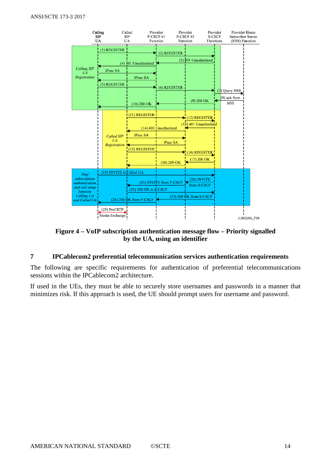

**Figure 4 – VoIP subscription authentication message flow – Priority signalled by the UA, using an identifier**

#### **7 IPCablecom2 preferential telecommunication services authentication requirements**

The following are specific requirements for authentication of preferential telecommunications sessions within the IPCablecom2 architecture.

If used in the UEs, they must be able to securely store usernames and passwords in a manner that minimizes risk. If this approach is used, the UE should prompt users for username and password.